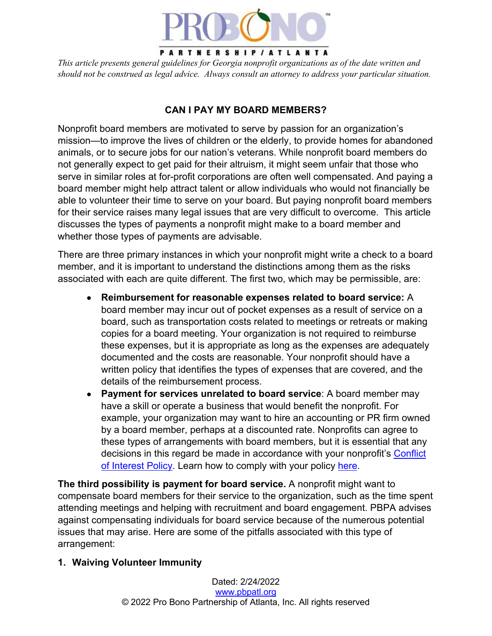

#### PARTNERSHIP/ATLANTA

*This article presents general guidelines for Georgia nonprofit organizations as of the date written and should not be construed as legal advice. Always consult an attorney to address your particular situation.*

### **CAN I PAY MY BOARD MEMBERS?**

Nonprofit board members are motivated to serve by passion for an organization's mission—to improve the lives of children or the elderly, to provide homes for abandoned animals, or to secure jobs for our nation's veterans. While nonprofit board members do not generally expect to get paid for their altruism, it might seem unfair that those who serve in similar roles at for-profit corporations are often well compensated. And paying a board member might help attract talent or allow individuals who would not financially be able to volunteer their time to serve on your board. But paying nonprofit board members for their service raises many legal issues that are very difficult to overcome. This article discusses the types of payments a nonprofit might make to a board member and whether those types of payments are advisable.

There are three primary instances in which your nonprofit might write a check to a board member, and it is important to understand the distinctions among them as the risks associated with each are quite different. The first two, which may be permissible, are:

- **Reimbursement for reasonable expenses related to board service:** A board member may incur out of pocket expenses as a result of service on a board, such as transportation costs related to meetings or retreats or making copies for a board meeting. Your organization is not required to reimburse these expenses, but it is appropriate as long as the expenses are adequately documented and the costs are reasonable. Your nonprofit should have a written policy that identifies the types of expenses that are covered, and the details of the reimbursement process.
- **Payment for services unrelated to board service**: A board member may have a skill or operate a business that would benefit the nonprofit. For example, your organization may want to hire an accounting or PR firm owned by a board member, perhaps at a discounted rate. Nonprofits can agree to these types of arrangements with board members, but it is essential that any decisions in this regard be made in accordance with your nonprofit's Conflict of Interest Policy. Learn how to comply with your policy here.

**The third possibility is payment for board service.** A nonprofit might want to compensate board members for their service to the organization, such as the time spent attending meetings and helping with recruitment and board engagement. PBPA advises against compensating individuals for board service because of the numerous potential issues that may arise. Here are some of the pitfalls associated with this type of arrangement:

#### **1. Waiving Volunteer Immunity**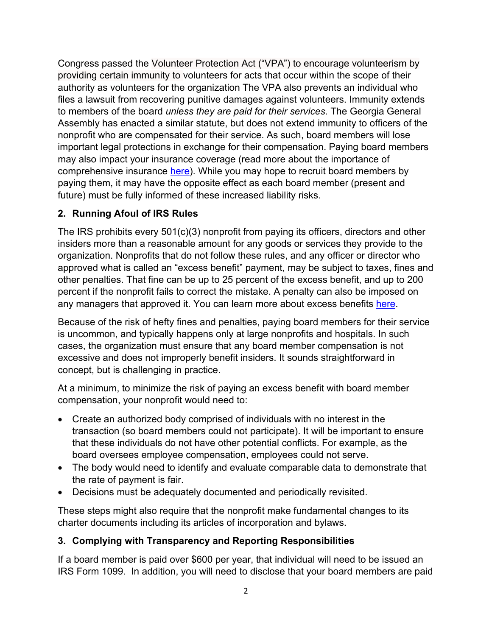Congress passed the Volunteer Protection Act ("VPA") to encourage volunteerism by providing certain immunity to volunteers for acts that occur within the scope of their authority as volunteers for the organization The VPA also prevents an individual who files a lawsuit from recovering punitive damages against volunteers. Immunity extends to members of the board *unless they are paid for their services*. The Georgia General Assembly has enacted a similar statute, but does not extend immunity to officers of the nonprofit who are compensated for their service. As such, board members will lose important legal protections in exchange for their compensation. Paying board members may also impact your insurance coverage (read more about the importance of comprehensive insurance here). While you may hope to recruit board members by paying them, it may have the opposite effect as each board member (present and future) must be fully informed of these increased liability risks.

## **2. Running Afoul of IRS Rules**

The IRS prohibits every 501(c)(3) nonprofit from paying its officers, directors and other insiders more than a reasonable amount for any goods or services they provide to the organization. Nonprofits that do not follow these rules, and any officer or director who approved what is called an "excess benefit" payment, may be subject to taxes, fines and other penalties. That fine can be up to 25 percent of the excess benefit, and up to 200 percent if the nonprofit fails to correct the mistake. A penalty can also be imposed on any managers that approved it. You can learn more about excess benefits here.

Because of the risk of hefty fines and penalties, paying board members for their service is uncommon, and typically happens only at large nonprofits and hospitals. In such cases, the organization must ensure that any board member compensation is not excessive and does not improperly benefit insiders. It sounds straightforward in concept, but is challenging in practice.

At a minimum, to minimize the risk of paying an excess benefit with board member compensation, your nonprofit would need to:

- Create an authorized body comprised of individuals with no interest in the transaction (so board members could not participate). It will be important to ensure that these individuals do not have other potential conflicts. For example, as the board oversees employee compensation, employees could not serve.
- The body would need to identify and evaluate comparable data to demonstrate that the rate of payment is fair.
- Decisions must be adequately documented and periodically revisited.

These steps might also require that the nonprofit make fundamental changes to its charter documents including its articles of incorporation and bylaws.

# **3. Complying with Transparency and Reporting Responsibilities**

If a board member is paid over \$600 per year, that individual will need to be issued an IRS Form 1099. In addition, you will need to disclose that your board members are paid